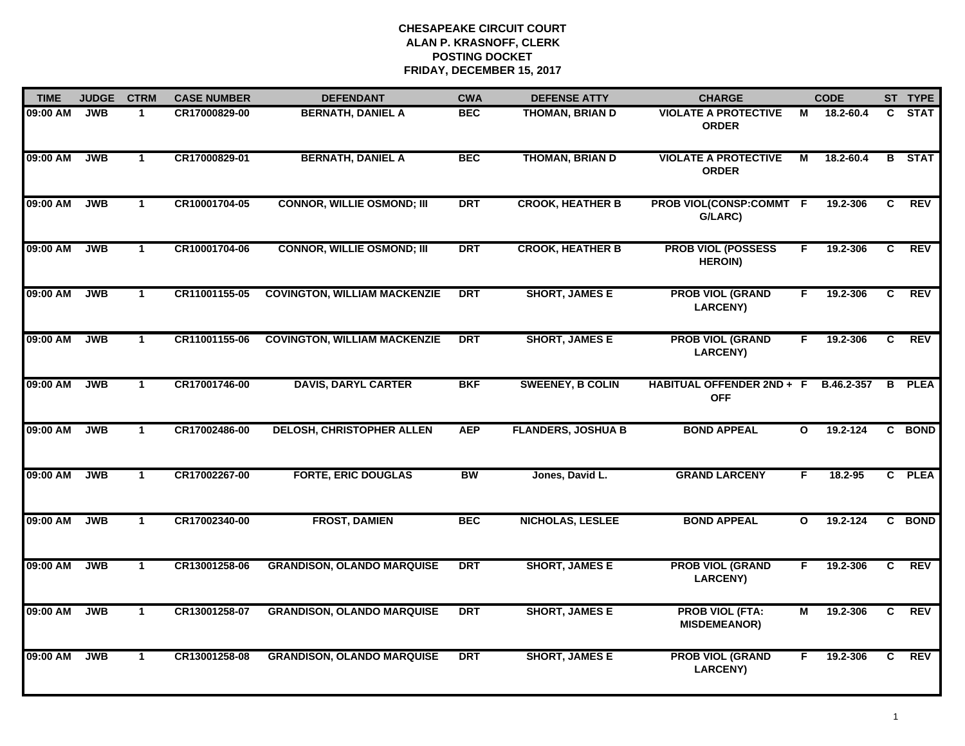| <b>TIME</b> | <b>JUDGE</b> | <b>CTRM</b>  | <b>CASE NUMBER</b> | <b>DEFENDANT</b>                    | <b>CWA</b> | <b>DEFENSE ATTY</b>       | <b>CHARGE</b>                                 |              | <b>CODE</b> |   | ST TYPE       |
|-------------|--------------|--------------|--------------------|-------------------------------------|------------|---------------------------|-----------------------------------------------|--------------|-------------|---|---------------|
| 09:00 AM    | <b>JWB</b>   | $\mathbf 1$  | CR17000829-00      | <b>BERNATH, DANIEL A</b>            | <b>BEC</b> | <b>THOMAN, BRIAN D</b>    | <b>VIOLATE A PROTECTIVE</b><br><b>ORDER</b>   | М            | 18.2-60.4   |   | C STAT        |
| 09:00 AM    | <b>JWB</b>   | $\mathbf{1}$ | CR17000829-01      | <b>BERNATH, DANIEL A</b>            | <b>BEC</b> | <b>THOMAN, BRIAN D</b>    | <b>VIOLATE A PROTECTIVE</b><br><b>ORDER</b>   | М            | 18.2-60.4   | B | <b>STAT</b>   |
| 09:00 AM    | <b>JWB</b>   | $\mathbf{1}$ | CR10001704-05      | <b>CONNOR, WILLIE OSMOND; III</b>   | <b>DRT</b> | <b>CROOK, HEATHER B</b>   | PROB VIOL(CONSP:COMMT F<br>G/LARC)            |              | 19.2-306    | C | <b>REV</b>    |
| 09:00 AM    | <b>JWB</b>   | $\mathbf{1}$ | CR10001704-06      | <b>CONNOR, WILLIE OSMOND; III</b>   | <b>DRT</b> | <b>CROOK, HEATHER B</b>   | <b>PROB VIOL (POSSESS</b><br><b>HEROIN)</b>   | F.           | 19.2-306    | C | <b>REV</b>    |
| 09:00 AM    | <b>JWB</b>   | $\mathbf{1}$ | CR11001155-05      | <b>COVINGTON, WILLIAM MACKENZIE</b> | <b>DRT</b> | <b>SHORT, JAMES E</b>     | <b>PROB VIOL (GRAND</b><br><b>LARCENY)</b>    | F.           | 19.2-306    | C | <b>REV</b>    |
| 09:00 AM    | <b>JWB</b>   | $\mathbf{1}$ | CR11001155-06      | <b>COVINGTON, WILLIAM MACKENZIE</b> | <b>DRT</b> | <b>SHORT, JAMES E</b>     | <b>PROB VIOL (GRAND</b><br><b>LARCENY)</b>    | F.           | 19.2-306    | C | <b>REV</b>    |
| 09:00 AM    | <b>JWB</b>   | $\mathbf{1}$ | CR17001746-00      | <b>DAVIS, DARYL CARTER</b>          | <b>BKF</b> | <b>SWEENEY, B COLIN</b>   | HABITUAL OFFENDER 2ND + F<br><b>OFF</b>       |              | B.46.2-357  |   | <b>B</b> PLEA |
| 09:00 AM    | <b>JWB</b>   | $\mathbf{1}$ | CR17002486-00      | <b>DELOSH, CHRISTOPHER ALLEN</b>    | <b>AEP</b> | <b>FLANDERS, JOSHUA B</b> | <b>BOND APPEAL</b>                            | $\mathbf{o}$ | 19.2-124    |   | C BOND        |
| 09:00 AM    | <b>JWB</b>   | $\mathbf 1$  | CR17002267-00      | <b>FORTE, ERIC DOUGLAS</b>          | <b>BW</b>  | Jones, David L.           | <b>GRAND LARCENY</b>                          | F.           | $18.2 - 95$ |   | C PLEA        |
| 09:00 AM    | <b>JWB</b>   | $\mathbf{1}$ | CR17002340-00      | <b>FROST, DAMIEN</b>                | <b>BEC</b> | NICHOLAS, LESLEE          | <b>BOND APPEAL</b>                            | $\mathbf{o}$ | 19.2-124    |   | C BOND        |
| 09:00 AM    | <b>JWB</b>   | $\mathbf{1}$ | CR13001258-06      | <b>GRANDISON, OLANDO MARQUISE</b>   | <b>DRT</b> | <b>SHORT, JAMES E</b>     | <b>PROB VIOL (GRAND</b><br><b>LARCENY)</b>    | F.           | 19.2-306    | C | <b>REV</b>    |
| 09:00 AM    | <b>JWB</b>   | $\mathbf{1}$ | CR13001258-07      | <b>GRANDISON, OLANDO MARQUISE</b>   | <b>DRT</b> | <b>SHORT, JAMES E</b>     | <b>PROB VIOL (FTA:</b><br><b>MISDEMEANOR)</b> | М            | 19.2-306    | C | <b>REV</b>    |
| 09:00 AM    | <b>JWB</b>   | $\mathbf{1}$ | CR13001258-08      | <b>GRANDISON, OLANDO MARQUISE</b>   | <b>DRT</b> | <b>SHORT, JAMES E</b>     | <b>PROB VIOL (GRAND</b><br><b>LARCENY)</b>    | F            | 19.2-306    | C | <b>REV</b>    |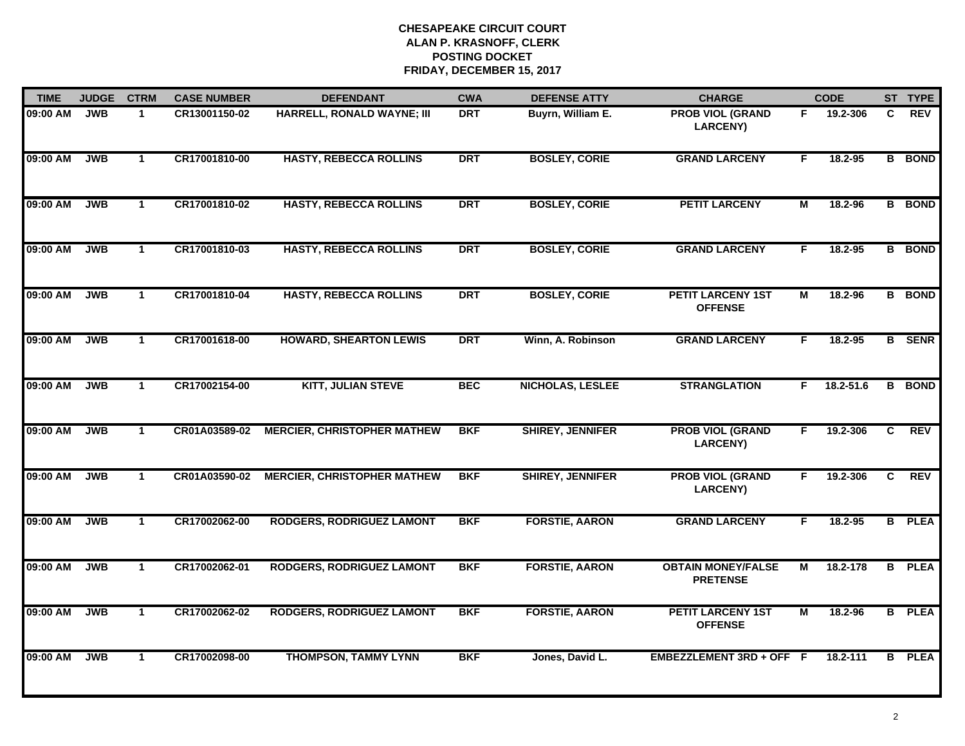| <b>TIME</b> | <b>JUDGE</b> | <b>CTRM</b>  | <b>CASE NUMBER</b> | <b>DEFENDANT</b>                   | <b>CWA</b> | <b>DEFENSE ATTY</b>     | <b>CHARGE</b>                                |    | <b>CODE</b> |                | ST TYPE       |
|-------------|--------------|--------------|--------------------|------------------------------------|------------|-------------------------|----------------------------------------------|----|-------------|----------------|---------------|
| 09:00 AM    | <b>JWB</b>   | $\mathbf{1}$ | CR13001150-02      | HARRELL, RONALD WAYNE; III         | <b>DRT</b> | Buyrn, William E.       | <b>PROB VIOL (GRAND</b><br><b>LARCENY)</b>   | F. | 19.2-306    | C              | <b>REV</b>    |
| 09:00 AM    | <b>JWB</b>   | $\mathbf{1}$ | CR17001810-00      | <b>HASTY, REBECCA ROLLINS</b>      | <b>DRT</b> | <b>BOSLEY, CORIE</b>    | <b>GRAND LARCENY</b>                         | F. | 18.2-95     |                | <b>B</b> BOND |
| 09:00 AM    | <b>JWB</b>   | $\mathbf{1}$ | CR17001810-02      | <b>HASTY, REBECCA ROLLINS</b>      | <b>DRT</b> | <b>BOSLEY, CORIE</b>    | <b>PETIT LARCENY</b>                         | M  | 18.2-96     |                | <b>B</b> BOND |
| 09:00 AM    | <b>JWB</b>   | $\mathbf 1$  | CR17001810-03      | <b>HASTY, REBECCA ROLLINS</b>      | <b>DRT</b> | <b>BOSLEY, CORIE</b>    | <b>GRAND LARCENY</b>                         | F  | 18.2-95     |                | <b>B</b> BOND |
| 09:00 AM    | <b>JWB</b>   | $\mathbf{1}$ | CR17001810-04      | <b>HASTY, REBECCA ROLLINS</b>      | <b>DRT</b> | <b>BOSLEY, CORIE</b>    | <b>PETIT LARCENY 1ST</b><br><b>OFFENSE</b>   | M  | 18.2-96     |                | <b>B</b> BOND |
| 09:00 AM    | <b>JWB</b>   | $\mathbf{1}$ | CR17001618-00      | <b>HOWARD, SHEARTON LEWIS</b>      | <b>DRT</b> | Winn, A. Robinson       | <b>GRAND LARCENY</b>                         | F. | 18.2-95     |                | <b>B</b> SENR |
| 09:00 AM    | <b>JWB</b>   | $\mathbf{1}$ | CR17002154-00      | <b>KITT, JULIAN STEVE</b>          | <b>BEC</b> | <b>NICHOLAS, LESLEE</b> | <b>STRANGLATION</b>                          | F. | 18.2-51.6   |                | <b>B</b> BOND |
| 09:00 AM    | <b>JWB</b>   | $\mathbf{1}$ | CR01A03589-02      | <b>MERCIER, CHRISTOPHER MATHEW</b> | <b>BKF</b> | <b>SHIREY, JENNIFER</b> | <b>PROB VIOL (GRAND</b><br><b>LARCENY)</b>   | F. | 19.2-306    | $\overline{c}$ | <b>REV</b>    |
| 09:00 AM    | <b>JWB</b>   | $\mathbf{1}$ | CR01A03590-02      | <b>MERCIER, CHRISTOPHER MATHEW</b> | <b>BKF</b> | <b>SHIREY, JENNIFER</b> | <b>PROB VIOL (GRAND</b><br><b>LARCENY)</b>   | F. | 19.2-306    | C              | <b>REV</b>    |
| 09:00 AM    | <b>JWB</b>   | $\mathbf{1}$ | CR17002062-00      | <b>RODGERS, RODRIGUEZ LAMONT</b>   | <b>BKF</b> | <b>FORSTIE, AARON</b>   | <b>GRAND LARCENY</b>                         | F. | 18.2-95     |                | <b>B</b> PLEA |
| 09:00 AM    | <b>JWB</b>   | $\mathbf{1}$ | CR17002062-01      | <b>RODGERS, RODRIGUEZ LAMONT</b>   | <b>BKF</b> | <b>FORSTIE, AARON</b>   | <b>OBTAIN MONEY/FALSE</b><br><b>PRETENSE</b> | М  | 18.2-178    |                | <b>B</b> PLEA |
| 09:00 AM    | <b>JWB</b>   | $\mathbf{1}$ | CR17002062-02      | <b>RODGERS, RODRIGUEZ LAMONT</b>   | <b>BKF</b> | <b>FORSTIE, AARON</b>   | <b>PETIT LARCENY 1ST</b><br><b>OFFENSE</b>   | M  | 18.2-96     |                | <b>B</b> PLEA |
| 09:00 AM    | <b>JWB</b>   | $\mathbf{1}$ | CR17002098-00      | <b>THOMPSON, TAMMY LYNN</b>        | <b>BKF</b> | Jones, David L.         | EMBEZZLEMENT 3RD + OFF F                     |    | 18.2-111    |                | <b>B</b> PLEA |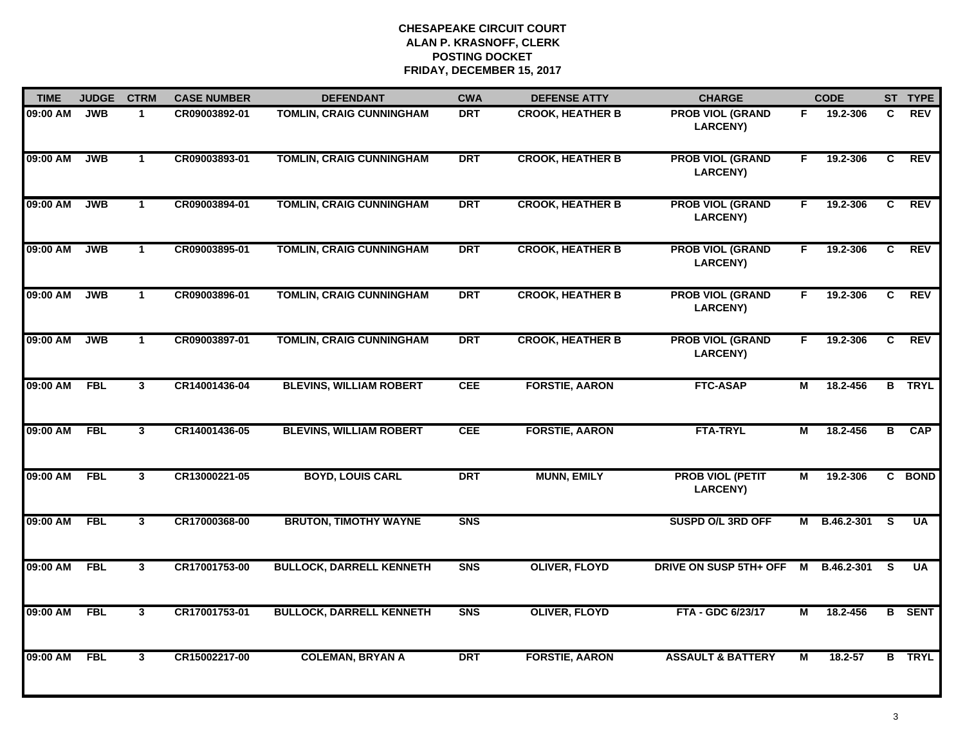| <b>TIME</b> | <b>JUDGE</b> | <b>CTRM</b>    | <b>CASE NUMBER</b> | <b>DEFENDANT</b>                | <b>CWA</b>     | <b>DEFENSE ATTY</b>     | <b>CHARGE</b>                              |                | <b>CODE</b> |                | ST TYPE       |
|-------------|--------------|----------------|--------------------|---------------------------------|----------------|-------------------------|--------------------------------------------|----------------|-------------|----------------|---------------|
| 09:00 AM    | <b>JWB</b>   | $\mathbf{1}$   | CR09003892-01      | <b>TOMLIN, CRAIG CUNNINGHAM</b> | <b>DRT</b>     | <b>CROOK, HEATHER B</b> | <b>PROB VIOL (GRAND</b><br><b>LARCENY)</b> | F.             | 19.2-306    | C              | <b>REV</b>    |
| 09:00 AM    | <b>JWB</b>   | $\mathbf{1}$   | CR09003893-01      | <b>TOMLIN, CRAIG CUNNINGHAM</b> | <b>DRT</b>     | <b>CROOK, HEATHER B</b> | <b>PROB VIOL (GRAND</b><br><b>LARCENY)</b> | F.             | 19.2-306    | C              | <b>REV</b>    |
| 09:00 AM    | <b>JWB</b>   | $\mathbf{1}$   | CR09003894-01      | <b>TOMLIN, CRAIG CUNNINGHAM</b> | <b>DRT</b>     | <b>CROOK, HEATHER B</b> | <b>PROB VIOL (GRAND</b><br><b>LARCENY)</b> | F.             | 19.2-306    | $\overline{c}$ | <b>REV</b>    |
| 09:00 AM    | <b>JWB</b>   | $\mathbf 1$    | CR09003895-01      | <b>TOMLIN, CRAIG CUNNINGHAM</b> | <b>DRT</b>     | <b>CROOK, HEATHER B</b> | <b>PROB VIOL (GRAND</b><br><b>LARCENY)</b> | F.             | 19.2-306    | C              | <b>REV</b>    |
| 09:00 AM    | <b>JWB</b>   | $\mathbf{1}$   | CR09003896-01      | <b>TOMLIN, CRAIG CUNNINGHAM</b> | <b>DRT</b>     | <b>CROOK, HEATHER B</b> | <b>PROB VIOL (GRAND</b><br><b>LARCENY)</b> | F.             | 19.2-306    | C              | <b>REV</b>    |
| 09:00 AM    | <b>JWB</b>   | $\mathbf{1}$   | CR09003897-01      | <b>TOMLIN, CRAIG CUNNINGHAM</b> | <b>DRT</b>     | <b>CROOK, HEATHER B</b> | <b>PROB VIOL (GRAND</b><br><b>LARCENY)</b> | F.             | 19.2-306    | $\overline{c}$ | <b>REV</b>    |
| 09:00 AM    | <b>FBL</b>   | 3              | CR14001436-04      | <b>BLEVINS, WILLIAM ROBERT</b>  | <b>CEE</b>     | <b>FORSTIE, AARON</b>   | <b>FTC-ASAP</b>                            | М              | 18.2-456    |                | <b>B</b> TRYL |
| 09:00 AM    | <b>FBL</b>   | $\overline{3}$ | CR14001436-05      | <b>BLEVINS, WILLIAM ROBERT</b>  | <b>CEE</b>     | <b>FORSTIE, AARON</b>   | <b>FTA-TRYL</b>                            | М              | 18.2-456    | В              | <b>CAP</b>    |
| 09:00 AM    | <b>FBL</b>   | $\mathbf{3}$   | CR13000221-05      | <b>BOYD, LOUIS CARL</b>         | <b>DRT</b>     | <b>MUNN, EMILY</b>      | <b>PROB VIOL (PETIT</b><br><b>LARCENY)</b> | М              | 19.2-306    |                | C BOND        |
| 09:00 AM    | <b>FBL</b>   | $\mathbf{3}$   | CR17000368-00      | <b>BRUTON, TIMOTHY WAYNE</b>    | <b>SNS</b>     |                         | <b>SUSPD O/L 3RD OFF</b>                   | M              | B.46.2-301  | <b>S</b>       | <b>UA</b>     |
| 09:00 AM    | <b>FBL</b>   | $\mathbf{3}$   | CR17001753-00      | <b>BULLOCK, DARRELL KENNETH</b> | <b>SNS</b>     | <b>OLIVER, FLOYD</b>    | DRIVE ON SUSP 5TH+ OFF                     | M              | B.46.2-301  | <b>S</b>       | <b>UA</b>     |
| 09:00 AM    | <b>FBL</b>   | 3              | CR17001753-01      | <b>BULLOCK, DARRELL KENNETH</b> | S <sub>N</sub> | <b>OLIVER, FLOYD</b>    | FTA - GDC 6/23/17                          | $\overline{M}$ | 18.2-456    |                | <b>B</b> SENT |
| 09:00 AM    | <b>FBL</b>   | $\mathbf{3}$   | CR15002217-00      | <b>COLEMAN, BRYAN A</b>         | <b>DRT</b>     | <b>FORSTIE, AARON</b>   | <b>ASSAULT &amp; BATTERY</b>               | М              | 18.2-57     |                | <b>B</b> TRYL |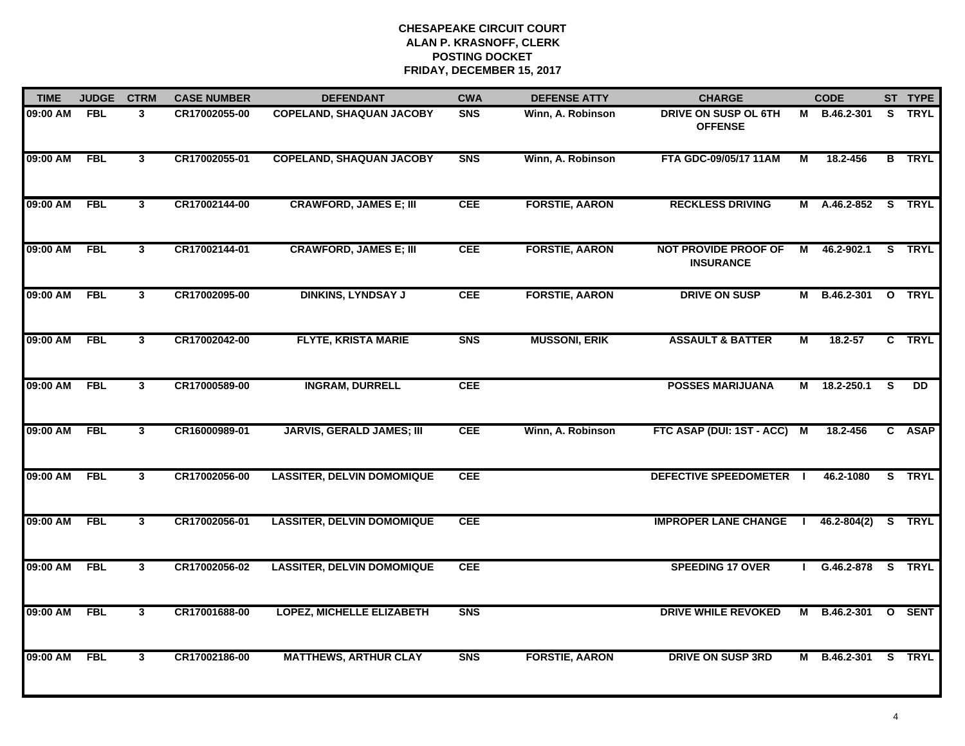| <b>TIME</b> | <b>JUDGE</b> | <b>CTRM</b>             | <b>CASE NUMBER</b> | <b>DEFENDANT</b>                  | <b>CWA</b> | <b>DEFENSE ATTY</b>   | <b>CHARGE</b>                                   |   | <b>CODE</b>     |              | ST TYPE       |
|-------------|--------------|-------------------------|--------------------|-----------------------------------|------------|-----------------------|-------------------------------------------------|---|-----------------|--------------|---------------|
| 09:00 AM    | <b>FBL</b>   | 3                       | CR17002055-00      | <b>COPELAND, SHAQUAN JACOBY</b>   | <b>SNS</b> | Winn, A. Robinson     | DRIVE ON SUSP OL 6TH<br><b>OFFENSE</b>          |   | M B.46.2-301    |              | S TRYL        |
| 09:00 AM    | <b>FBL</b>   | $\mathbf{3}$            | CR17002055-01      | <b>COPELAND, SHAQUAN JACOBY</b>   | <b>SNS</b> | Winn, A. Robinson     | FTA GDC-09/05/17 11AM                           | М | 18.2-456        |              | <b>B</b> TRYL |
| 09:00 AM    | <b>FBL</b>   | $\overline{\mathbf{3}}$ | CR17002144-00      | <b>CRAWFORD, JAMES E; III</b>     | <b>CEE</b> | <b>FORSTIE, AARON</b> | <b>RECKLESS DRIVING</b>                         |   | M A.46.2-852    |              | S TRYL        |
| 09:00 AM    | <b>FBL</b>   | $\mathbf{3}$            | CR17002144-01      | <b>CRAWFORD, JAMES E; III</b>     | <b>CEE</b> | <b>FORSTIE, AARON</b> | <b>NOT PROVIDE PROOF OF</b><br><b>INSURANCE</b> | М | 46.2-902.1      | S.           | <b>TRYL</b>   |
| 09:00 AM    | <b>FBL</b>   | $\mathbf{3}$            | CR17002095-00      | <b>DINKINS, LYNDSAY J</b>         | <b>CEE</b> | <b>FORSTIE, AARON</b> | <b>DRIVE ON SUSP</b>                            | М | B.46.2-301      |              | O TRYL        |
| 09:00 AM    | <b>FBL</b>   | $\mathbf{3}$            | CR17002042-00      | <b>FLYTE, KRISTA MARIE</b>        | <b>SNS</b> | <b>MUSSONI, ERIK</b>  | <b>ASSAULT &amp; BATTER</b>                     | М | $18.2 - 57$     |              | C TRYL        |
| 09:00 AM    | <b>FBL</b>   | $\mathbf{3}$            | CR17000589-00      | <b>INGRAM, DURRELL</b>            | <b>CEE</b> |                       | <b>POSSES MARIJUANA</b>                         | М | 18.2-250.1      | <b>S</b>     | DD            |
| 09:00 AM    | <b>FBL</b>   | $\mathbf{3}$            | CR16000989-01      | <b>JARVIS, GERALD JAMES; III</b>  | <b>CEE</b> | Winn, A. Robinson     | FTC ASAP (DUI: 1ST - ACC) M                     |   | 18.2-456        |              | C ASAP        |
| 09:00 AM    | <b>FBL</b>   | $\mathbf{3}$            | CR17002056-00      | <b>LASSITER, DELVIN DOMOMIQUE</b> | <b>CEE</b> |                       | DEFECTIVE SPEEDOMETER                           |   | 46.2-1080       |              | S TRYL        |
| 09:00 AM    | <b>FBL</b>   | $\mathbf{3}$            | CR17002056-01      | <b>LASSITER, DELVIN DOMOMIQUE</b> | <b>CEE</b> |                       | <b>IMPROPER LANE CHANGE</b>                     |   | $46.2 - 804(2)$ |              | S TRYL        |
| 09:00 AM    | <b>FBL</b>   | $\mathbf{3}$            | CR17002056-02      | <b>LASSITER, DELVIN DOMOMIQUE</b> | <b>CEE</b> |                       | <b>SPEEDING 17 OVER</b>                         |   | G.46.2-878      | S.           | <b>TRYL</b>   |
| 09:00 AM    | <b>FBL</b>   | 3                       | CR17001688-00      | <b>LOPEZ, MICHELLE ELIZABETH</b>  | <b>SNS</b> |                       | <b>DRIVE WHILE REVOKED</b>                      | М | B.46.2-301      | $\mathbf{o}$ | <b>SENT</b>   |
| 09:00 AM    | <b>FBL</b>   | $\mathbf{3}$            | CR17002186-00      | <b>MATTHEWS, ARTHUR CLAY</b>      | <b>SNS</b> | <b>FORSTIE, AARON</b> | <b>DRIVE ON SUSP 3RD</b>                        | М | B.46.2-301      |              | S TRYL        |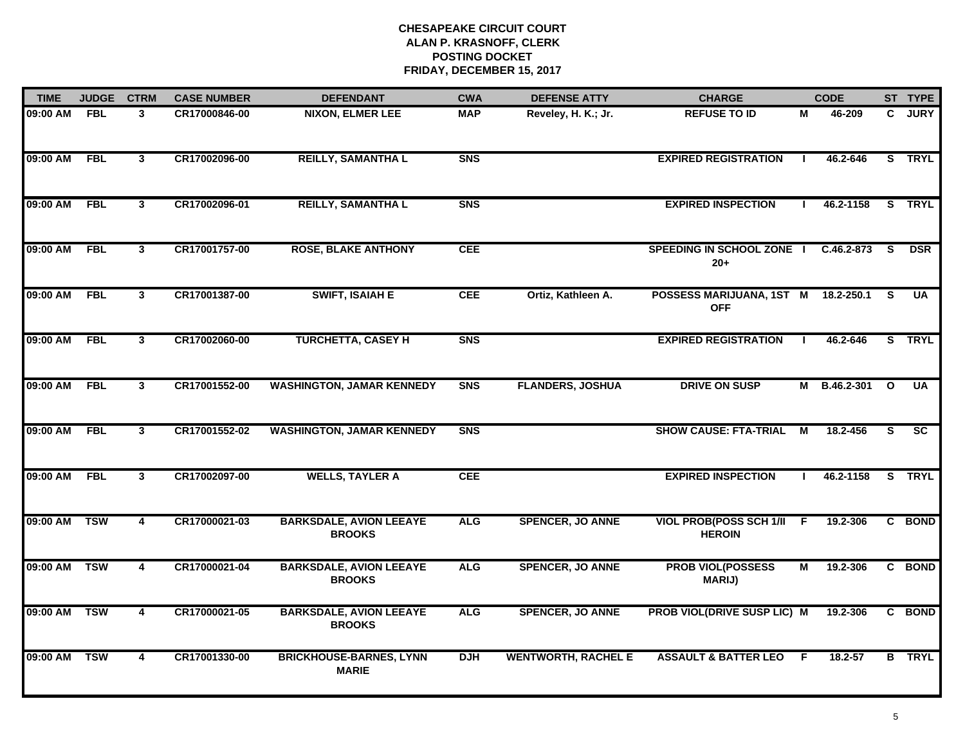| <b>TIME</b>  | <b>JUDGE</b> | <b>CTRM</b>             | <b>CASE NUMBER</b> | <b>DEFENDANT</b>                                | <b>CWA</b>     | <b>DEFENSE ATTY</b>        | <b>CHARGE</b>                                     |              | <b>CODE</b>    |    | ST TYPE                |
|--------------|--------------|-------------------------|--------------------|-------------------------------------------------|----------------|----------------------------|---------------------------------------------------|--------------|----------------|----|------------------------|
| 09:00 AM     | <b>FBL</b>   | 3                       | CR17000846-00      | <b>NIXON, ELMER LEE</b>                         | <b>MAP</b>     | Reveley, H. K.; Jr.        | <b>REFUSE TO ID</b>                               | М            | 46-209         | C. | <b>JURY</b>            |
| 09:00 AM     | FBL          | $\mathbf{3}$            | CR17002096-00      | <b>REILLY, SAMANTHA L</b>                       | <b>SNS</b>     |                            | <b>EXPIRED REGISTRATION</b>                       | -1           | 46.2-646       |    | S TRYL                 |
| 09:00 AM     | <b>FBL</b>   | $\overline{3}$          | CR17002096-01      | <b>REILLY, SAMANTHA L</b>                       | <b>SNS</b>     |                            | <b>EXPIRED INSPECTION</b>                         |              | 46.2-1158      |    | S TRYL                 |
| 09:00 AM     | <b>FBL</b>   | $\mathbf{3}$            | CR17001757-00      | <b>ROSE, BLAKE ANTHONY</b>                      | <b>CEE</b>     |                            | <b>SPEEDING IN SCHOOL ZONE I</b><br>$20+$         |              | C.46.2-873     | -S | <b>DSR</b>             |
| 09:00 AM     | <b>FBL</b>   | $\mathbf{3}$            | CR17001387-00      | <b>SWIFT, ISAIAH E</b>                          | <b>CEE</b>     | Ortiz, Kathleen A.         | POSSESS MARIJUANA, 1ST M 18.2-250.1<br><b>OFF</b> |              |                | S  | <b>UA</b>              |
| 09:00 AM FBL |              | 3                       | CR17002060-00      | <b>TURCHETTA, CASEY H</b>                       | <b>SNS</b>     |                            | <b>EXPIRED REGISTRATION</b>                       | $\mathbf{I}$ | 46.2-646       |    | S TRYL                 |
| 09:00 AM     | FBL          | $\mathbf{3}$            | CR17001552-00      | <b>WASHINGTON, JAMAR KENNEDY</b>                | <b>SNS</b>     | <b>FLANDERS, JOSHUA</b>    | <b>DRIVE ON SUSP</b>                              |              | M B.46.2-301 O |    | <b>UA</b>              |
| 09:00 AM     | FBL          | $\overline{3}$          | CR17001552-02      | <b>WASHINGTON, JAMAR KENNEDY</b>                | S <sub>N</sub> |                            | <b>SHOW CAUSE: FTA-TRIAL</b>                      | М            | 18.2-456       | s  | $\overline{\text{sc}}$ |
| 09:00 AM     | <b>FBL</b>   | $\mathbf{3}$            | CR17002097-00      | <b>WELLS, TAYLER A</b>                          | <b>CEE</b>     |                            | <b>EXPIRED INSPECTION</b>                         |              | 46.2-1158      |    | S TRYL                 |
| 09:00 AM     | <b>TSW</b>   | 4                       | CR17000021-03      | <b>BARKSDALE, AVION LEEAYE</b><br><b>BROOKS</b> | <b>ALG</b>     | <b>SPENCER, JO ANNE</b>    | VIOL PROB(POSS SCH 1/II F<br><b>HEROIN</b>        |              | 19.2-306       |    | C BOND                 |
| 09:00 AM     | <b>TSW</b>   | 4                       | CR17000021-04      | <b>BARKSDALE, AVION LEEAYE</b><br><b>BROOKS</b> | <b>ALG</b>     | <b>SPENCER, JO ANNE</b>    | <b>PROB VIOL(POSSESS</b><br><b>MARIJ)</b>         | М            | 19.2-306       |    | C BOND                 |
| 09:00 AM     | <b>TSW</b>   | $\overline{\mathbf{4}}$ | CR17000021-05      | <b>BARKSDALE, AVION LEEAYE</b><br><b>BROOKS</b> | <b>ALG</b>     | <b>SPENCER, JO ANNE</b>    | PROB VIOL(DRIVE SUSP LIC) M                       |              | 19.2-306       | C. | <b>BOND</b>            |
| 09:00 AM     | <b>TSW</b>   | 4                       | CR17001330-00      | <b>BRICKHOUSE-BARNES, LYNN</b><br><b>MARIE</b>  | <b>DJH</b>     | <b>WENTWORTH, RACHEL E</b> | <b>ASSAULT &amp; BATTER LEO</b>                   | -F           | $18.2 - 57$    |    | <b>B</b> TRYL          |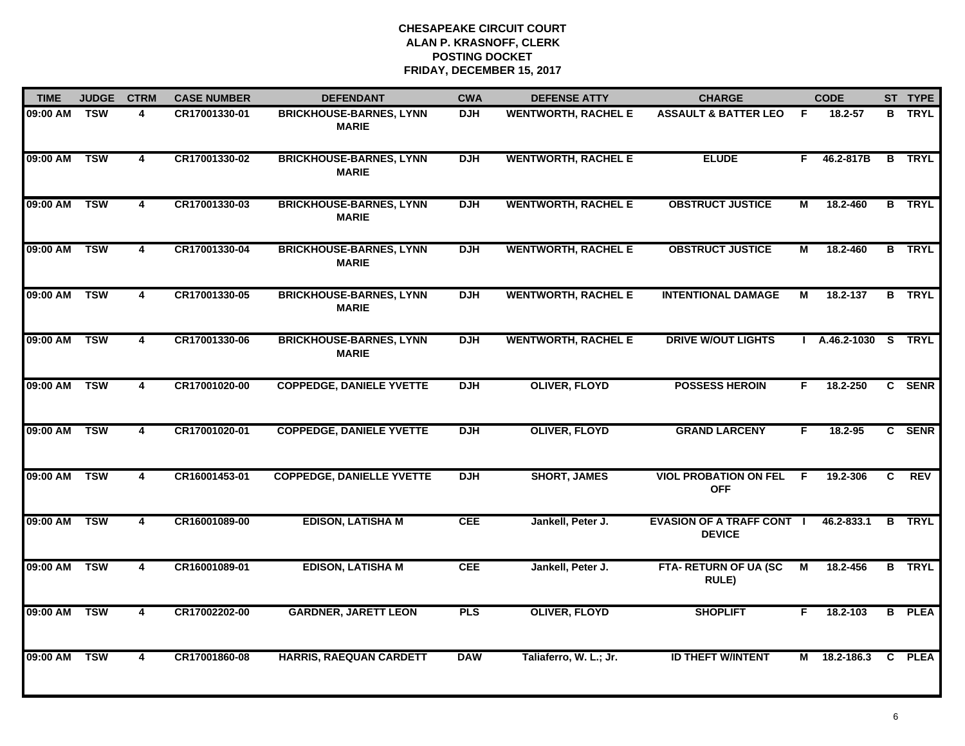| <b>TIME</b>  | <b>JUDGE</b> | <b>CTRM</b>             | <b>CASE NUMBER</b> | <b>DEFENDANT</b>                               | <b>CWA</b> | <b>DEFENSE ATTY</b>        | <b>CHARGE</b>                                     |    | <b>CODE</b>        |    | ST TYPE       |
|--------------|--------------|-------------------------|--------------------|------------------------------------------------|------------|----------------------------|---------------------------------------------------|----|--------------------|----|---------------|
| 09:00 AM     | <b>TSW</b>   | 4                       | CR17001330-01      | <b>BRICKHOUSE-BARNES, LYNN</b><br><b>MARIE</b> | <b>DJH</b> | <b>WENTWORTH, RACHEL E</b> | <b>ASSAULT &amp; BATTER LEO</b>                   | E  | 18.2-57            | B  | <b>TRYL</b>   |
| 09:00 AM TSW |              | 4                       | CR17001330-02      | <b>BRICKHOUSE-BARNES, LYNN</b><br><b>MARIE</b> | <b>DJH</b> | <b>WENTWORTH, RACHEL E</b> | <b>ELUDE</b>                                      | F. | 46.2-817B          |    | <b>B</b> TRYL |
| 09:00 AM     | <b>TSW</b>   | 4                       | CR17001330-03      | <b>BRICKHOUSE-BARNES, LYNN</b><br><b>MARIE</b> | <b>DJH</b> | <b>WENTWORTH, RACHEL E</b> | <b>OBSTRUCT JUSTICE</b>                           | М  | 18.2-460           |    | <b>B</b> TRYL |
| 09:00 AM     | <b>TSW</b>   | 4                       | CR17001330-04      | <b>BRICKHOUSE-BARNES, LYNN</b><br><b>MARIE</b> | <b>DJH</b> | <b>WENTWORTH, RACHEL E</b> | <b>OBSTRUCT JUSTICE</b>                           | м  | 18.2-460           |    | <b>B</b> TRYL |
| 09:00 AM     | <b>TSW</b>   | 4                       | CR17001330-05      | <b>BRICKHOUSE-BARNES, LYNN</b><br><b>MARIE</b> | <b>DJH</b> | <b>WENTWORTH, RACHEL E</b> | <b>INTENTIONAL DAMAGE</b>                         | M  | 18.2-137           |    | <b>B</b> TRYL |
| 09:00 AM     | <b>TSW</b>   | 4                       | CR17001330-06      | <b>BRICKHOUSE-BARNES, LYNN</b><br><b>MARIE</b> | <b>DJH</b> | <b>WENTWORTH, RACHEL E</b> | <b>DRIVE W/OUT LIGHTS</b>                         |    | A.46.2-1030 S TRYL |    |               |
| 09:00 AM     | <b>TSW</b>   | $\overline{4}$          | CR17001020-00      | <b>COPPEDGE, DANIELE YVETTE</b>                | <b>DJH</b> | <b>OLIVER, FLOYD</b>       | <b>POSSESS HEROIN</b>                             | F. | 18.2-250           |    | C SENR        |
| 09:00 AM     | <b>TSW</b>   | 4                       | CR17001020-01      | <b>COPPEDGE, DANIELE YVETTE</b>                | <b>DJH</b> | <b>OLIVER, FLOYD</b>       | <b>GRAND LARCENY</b>                              | F  | 18.2-95            |    | C SENR        |
| 09:00 AM     | <b>TSW</b>   | 4                       | CR16001453-01      | <b>COPPEDGE, DANIELLE YVETTE</b>               | <b>DJH</b> | <b>SHORT, JAMES</b>        | <b>VIOL PROBATION ON FEL</b><br><b>OFF</b>        | -F | 19.2-306           | C. | <b>REV</b>    |
| 09:00 AM     | <b>TSW</b>   | $\overline{\mathbf{4}}$ | CR16001089-00      | <b>EDISON, LATISHA M</b>                       | <b>CEE</b> | Jankell, Peter J.          | <b>EVASION OF A TRAFF CONT I</b><br><b>DEVICE</b> |    | 46.2-833.1         | B  | <b>TRYL</b>   |
| 09:00 AM     | <b>TSW</b>   | $\overline{4}$          | CR16001089-01      | <b>EDISON, LATISHA M</b>                       | CEE        | Jankell, Peter J.          | FTA- RETURN OF UA (SC<br><b>RULE)</b>             | М  | 18.2-456           |    | <b>B</b> TRYL |
| 09:00 AM     | <b>TSW</b>   | $\overline{4}$          | CR17002202-00      | <b>GARDNER, JARETT LEON</b>                    | <b>PLS</b> | <b>OLIVER, FLOYD</b>       | <b>SHOPLIFT</b>                                   | F. | 18.2-103           |    | <b>B</b> PLEA |
| 09:00 AM     | <b>TSW</b>   | 4                       | CR17001860-08      | <b>HARRIS, RAEQUAN CARDETT</b>                 | <b>DAW</b> | Taliaferro, W. L.; Jr.     | <b>ID THEFT W/INTENT</b>                          | М  | 18.2-186.3         |    | C PLEA        |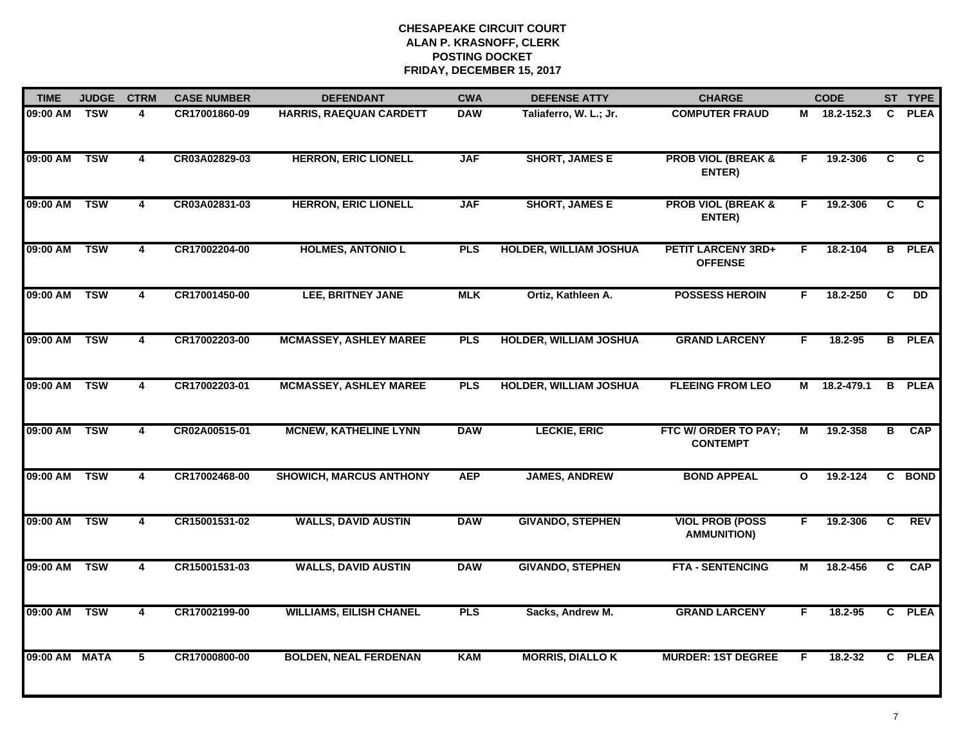| <b>TIME</b>   | <b>JUDGE</b> | <b>CTRM</b>             | <b>CASE NUMBER</b> | <b>DEFENDANT</b>               | <b>CWA</b> | <b>DEFENSE ATTY</b>           | <b>CHARGE</b>                                |                | <b>CODE</b>  |                         | ST TYPE         |
|---------------|--------------|-------------------------|--------------------|--------------------------------|------------|-------------------------------|----------------------------------------------|----------------|--------------|-------------------------|-----------------|
| 09:00 AM      | <b>TSW</b>   | 4                       | CR17001860-09      | HARRIS, RAEQUAN CARDETT        | <b>DAW</b> | Taliaferro, W. L.; Jr.        | <b>COMPUTER FRAUD</b>                        |                | M 18.2-152.3 | C.                      | <b>PLEA</b>     |
| 09:00 AM      | <b>TSW</b>   | $\overline{4}$          | CR03A02829-03      | <b>HERRON, ERIC LIONELL</b>    | <b>JAF</b> | <b>SHORT, JAMES E</b>         | <b>PROB VIOL (BREAK &amp;</b><br>ENTER)      | F              | 19.2-306     | C                       | C               |
| 09:00 AM      | <b>TSW</b>   | $\overline{4}$          | CR03A02831-03      | <b>HERRON, ERIC LIONELL</b>    | <b>JAF</b> | <b>SHORT, JAMES E</b>         | <b>PROB VIOL (BREAK &amp;</b><br>ENTER)      | F.             | 19.2-306     | C                       | C               |
| 09:00 AM      | <b>TSW</b>   | 4                       | CR17002204-00      | <b>HOLMES, ANTONIO L</b>       | <b>PLS</b> | <b>HOLDER, WILLIAM JOSHUA</b> | <b>PETIT LARCENY 3RD+</b><br><b>OFFENSE</b>  | F.             | 18.2-104     | B                       | <b>PLEA</b>     |
| 09:00 AM      | <b>TSW</b>   | 4                       | CR17001450-00      | LEE, BRITNEY JANE              | <b>MLK</b> | Ortiz, Kathleen A.            | <b>POSSESS HEROIN</b>                        | F.             | 18.2-250     | C.                      | $\overline{DD}$ |
| 09:00 AM      | <b>TSW</b>   | 4                       | CR17002203-00      | <b>MCMASSEY, ASHLEY MAREE</b>  | <b>PLS</b> | <b>HOLDER, WILLIAM JOSHUA</b> | <b>GRAND LARCENY</b>                         | F.             | 18.2-95      |                         | <b>B</b> PLEA   |
| 09:00 AM      | <b>TSW</b>   | $\overline{4}$          | CR17002203-01      | <b>MCMASSEY, ASHLEY MAREE</b>  | <b>PLS</b> | <b>HOLDER, WILLIAM JOSHUA</b> | <b>FLEEING FROM LEO</b>                      | М              | 18.2-479.1   | $\overline{\mathbf{B}}$ | <b>PLEA</b>     |
| 09:00 AM      | <b>TSW</b>   | $\overline{\mathbf{4}}$ | CR02A00515-01      | <b>MCNEW, KATHELINE LYNN</b>   | <b>DAW</b> | <b>LECKIE, ERIC</b>           | FTC W/ ORDER TO PAY;<br><b>CONTEMPT</b>      | $\overline{M}$ | 19.2-358     | В                       | CAP             |
| 09:00 AM      | <b>TSW</b>   | 4                       | CR17002468-00      | <b>SHOWICH, MARCUS ANTHONY</b> | <b>AEP</b> | <b>JAMES, ANDREW</b>          | <b>BOND APPEAL</b>                           | $\mathbf{o}$   | 19.2-124     |                         | C BOND          |
| 09:00 AM      | <b>TSW</b>   | $\overline{\mathbf{4}}$ | CR15001531-02      | <b>WALLS, DAVID AUSTIN</b>     | <b>DAW</b> | <b>GIVANDO, STEPHEN</b>       | <b>VIOL PROB (POSS</b><br><b>AMMUNITION)</b> | F.             | 19.2-306     | $\mathbf{c}$            | <b>REV</b>      |
| 09:00 AM      | <b>TSW</b>   | $\overline{4}$          | CR15001531-03      | <b>WALLS, DAVID AUSTIN</b>     | <b>DAW</b> | <b>GIVANDO, STEPHEN</b>       | <b>FTA - SENTENCING</b>                      | М              | 18.2-456     | C.                      | CAP             |
| 09:00 AM      | <b>TSW</b>   | $\overline{\mathbf{4}}$ | CR17002199-00      | <b>WILLIAMS, EILISH CHANEL</b> | <b>PLS</b> | Sacks, Andrew M.              | <b>GRAND LARCENY</b>                         | F.             | 18.2-95      |                         | C PLEA          |
| 09:00 AM MATA |              | 5                       | CR17000800-00      | <b>BOLDEN, NEAL FERDENAN</b>   | <b>KAM</b> | <b>MORRIS, DIALLO K</b>       | <b>MURDER: 1ST DEGREE</b>                    | F              | 18.2-32      |                         | C PLEA          |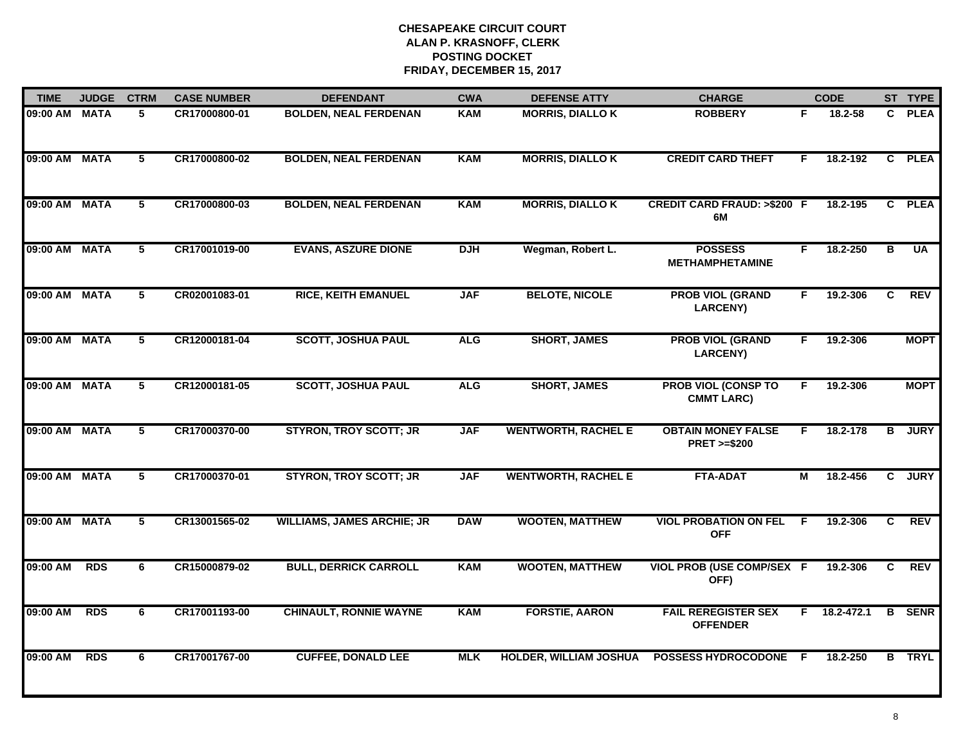| <b>TIME</b>   | <b>JUDGE</b> | <b>CTRM</b>    | <b>CASE NUMBER</b> | <b>DEFENDANT</b>                  | <b>CWA</b> | <b>DEFENSE ATTY</b>           | <b>CHARGE</b>                                       |     | <b>CODE</b>        |              | ST TYPE       |
|---------------|--------------|----------------|--------------------|-----------------------------------|------------|-------------------------------|-----------------------------------------------------|-----|--------------------|--------------|---------------|
| 09:00 AM      | <b>MATA</b>  | 5              | CR17000800-01      | <b>BOLDEN, NEAL FERDENAN</b>      | <b>KAM</b> | <b>MORRIS, DIALLO K</b>       | <b>ROBBERY</b>                                      | F   | 18.2-58            |              | C PLEA        |
| 09:00 AM      | <b>MATA</b>  | $\overline{5}$ | CR17000800-02      | <b>BOLDEN, NEAL FERDENAN</b>      | <b>KAM</b> | <b>MORRIS, DIALLO K</b>       | <b>CREDIT CARD THEFT</b>                            | F.  | 18.2-192           |              | C PLEA        |
| 09:00 AM      | <b>MATA</b>  | $\overline{5}$ | CR17000800-03      | <b>BOLDEN, NEAL FERDENAN</b>      | <b>KAM</b> | <b>MORRIS, DIALLO K</b>       | <b>CREDIT CARD FRAUD: &gt;\$200 F</b><br>6M         |     | 18.2-195           |              | C PLEA        |
| 09:00 AM      | <b>MATA</b>  | 5              | CR17001019-00      | <b>EVANS, ASZURE DIONE</b>        | <b>DJH</b> | Wegman, Robert L.             | <b>POSSESS</b><br><b>METHAMPHETAMINE</b>            | F.  | 18.2-250           | в            | <b>UA</b>     |
| 09:00 AM MATA |              | 5              | CR02001083-01      | <b>RICE, KEITH EMANUEL</b>        | <b>JAF</b> | <b>BELOTE, NICOLE</b>         | <b>PROB VIOL (GRAND</b><br><b>LARCENY)</b>          | F.  | 19.2-306           | C.           | <b>REV</b>    |
| 09:00 AM MATA |              | 5              | CR12000181-04      | <b>SCOTT, JOSHUA PAUL</b>         | <b>ALG</b> | <b>SHORT, JAMES</b>           | <b>PROB VIOL (GRAND</b><br><b>LARCENY)</b>          | F.  | 19.2-306           |              | <b>MOPT</b>   |
| 09:00 AM      | <b>MATA</b>  | $\overline{5}$ | CR12000181-05      | <b>SCOTT, JOSHUA PAUL</b>         | <b>ALG</b> | <b>SHORT, JAMES</b>           | <b>PROB VIOL (CONSP TO</b><br><b>CMMT LARC)</b>     | F.  | 19.2-306           |              | <b>MOPT</b>   |
| 09:00 AM      | <b>MATA</b>  | $\overline{5}$ | CR17000370-00      | <b>STYRON, TROY SCOTT; JR</b>     | <b>JAF</b> | <b>WENTWORTH, RACHEL E</b>    | <b>OBTAIN MONEY FALSE</b><br><b>PRET &gt;=\$200</b> | F.  | 18.2-178           | B            | <b>JURY</b>   |
| 09:00 AM      | <b>MATA</b>  | 5              | CR17000370-01      | <b>STYRON, TROY SCOTT; JR</b>     | <b>JAF</b> | <b>WENTWORTH, RACHEL E</b>    | <b>FTA-ADAT</b>                                     | М   | 18.2-456           | C.           | <b>JURY</b>   |
| 09:00 AM      | <b>MATA</b>  | 5              | CR13001565-02      | <b>WILLIAMS, JAMES ARCHIE; JR</b> | <b>DAW</b> | <b>WOOTEN, MATTHEW</b>        | <b>VIOL PROBATION ON FEL</b><br><b>OFF</b>          | F   | 19.2-306           | $\mathbf{C}$ | <b>REV</b>    |
| 09:00 AM      | <b>RDS</b>   | 6              | CR15000879-02      | <b>BULL, DERRICK CARROLL</b>      | <b>KAM</b> | <b>WOOTEN, MATTHEW</b>        | VIOL PROB (USE COMP/SEX F<br>OFF)                   |     | 19.2-306           | C.           | REV           |
| 09:00 AM      | <b>RDS</b>   | 6              | CR17001193-00      | <b>CHINAULT, RONNIE WAYNE</b>     | <b>KAM</b> | <b>FORSTIE, AARON</b>         | <b>FAIL REREGISTER SEX</b><br><b>OFFENDER</b>       |     | $F = 18.2 - 472.1$ | B            | <b>SENR</b>   |
| 09:00 AM      | <b>RDS</b>   | 6              | CR17001767-00      | <b>CUFFEE, DONALD LEE</b>         | <b>MLK</b> | <b>HOLDER, WILLIAM JOSHUA</b> | <b>POSSESS HYDROCODONE</b>                          | - F | 18.2-250           |              | <b>B</b> TRYL |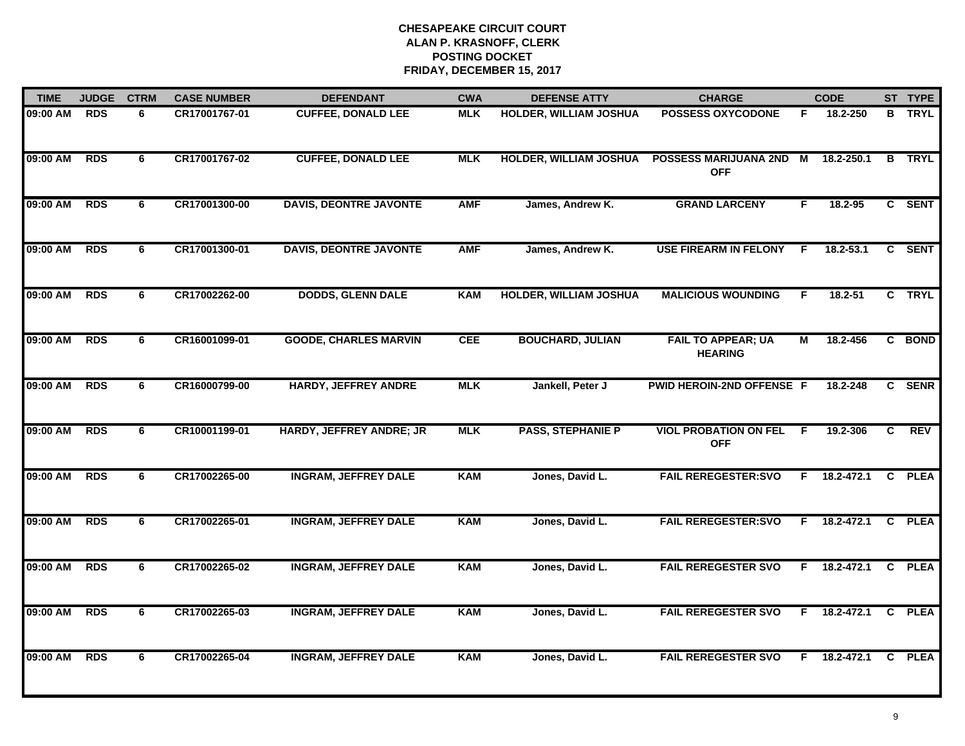| <b>TIME</b> | <b>JUDGE</b> | <b>CTRM</b> | <b>CASE NUMBER</b> | <b>DEFENDANT</b>              | <b>CWA</b> | <b>DEFENSE ATTY</b>           | <b>CHARGE</b>                               |                | <b>CODE</b> |    | ST TYPE       |
|-------------|--------------|-------------|--------------------|-------------------------------|------------|-------------------------------|---------------------------------------------|----------------|-------------|----|---------------|
| 09:00 AM    | <b>RDS</b>   | 6           | CR17001767-01      | <b>CUFFEE, DONALD LEE</b>     | <b>MLK</b> | <b>HOLDER, WILLIAM JOSHUA</b> | <b>POSSESS OXYCODONE</b>                    | F.             | 18.2-250    |    | <b>B</b> TRYL |
| 09:00 AM    | <b>RDS</b>   | 6           | CR17001767-02      | <b>CUFFEE, DONALD LEE</b>     | <b>MLK</b> | <b>HOLDER, WILLIAM JOSHUA</b> | POSSESS MARIJUANA 2ND M<br><b>OFF</b>       |                | 18.2-250.1  | B  | <b>TRYL</b>   |
| 09:00 AM    | <b>RDS</b>   | 6           | CR17001300-00      | <b>DAVIS, DEONTRE JAVONTE</b> | <b>AMF</b> | James, Andrew K.              | <b>GRAND LARCENY</b>                        | F.             | 18.2-95     |    | C SENT        |
| 09:00 AM    | <b>RDS</b>   | 6           | CR17001300-01      | <b>DAVIS, DEONTRE JAVONTE</b> | <b>AMF</b> | James, Andrew K.              | <b>USE FIREARM IN FELONY</b>                | E              | 18.2-53.1   | C. | <b>SENT</b>   |
| 09:00 AM    | <b>RDS</b>   | 6           | CR17002262-00      | <b>DODDS, GLENN DALE</b>      | <b>KAM</b> | <b>HOLDER, WILLIAM JOSHUA</b> | <b>MALICIOUS WOUNDING</b>                   | F.             | $18.2 - 51$ |    | C TRYL        |
| 09:00 AM    | <b>RDS</b>   | 6           | CR16001099-01      | <b>GOODE, CHARLES MARVIN</b>  | <b>CEE</b> | <b>BOUCHARD, JULIAN</b>       | <b>FAIL TO APPEAR; UA</b><br><b>HEARING</b> | $\overline{M}$ | 18.2-456    |    | C BOND        |
| 09:00 AM    | <b>RDS</b>   | 6           | CR16000799-00      | <b>HARDY, JEFFREY ANDRE</b>   | <b>MLK</b> | Jankell, Peter J              | PWID HEROIN-2ND OFFENSE F                   |                | 18.2-248    |    | C SENR        |
| 09:00 AM    | <b>RDS</b>   | 6           | CR10001199-01      | HARDY, JEFFREY ANDRE; JR      | <b>MLK</b> | <b>PASS, STEPHANIE P</b>      | <b>VIOL PROBATION ON FEL</b><br><b>OFF</b>  | E              | 19.2-306    | C  | REV           |
| 09:00 AM    | <b>RDS</b>   | 6           | CR17002265-00      | <b>INGRAM, JEFFREY DALE</b>   | <b>KAM</b> | Jones, David L.               | <b>FAIL REREGESTER:SVO</b>                  | F              | 18.2-472.1  | C  | <b>PLEA</b>   |
| 09:00 AM    | <b>RDS</b>   | 6           | CR17002265-01      | <b>INGRAM, JEFFREY DALE</b>   | <b>KAM</b> | Jones, David L.               | <b>FAIL REREGESTER:SVO</b>                  | F.             | 18.2-472.1  |    | C PLEA        |
| 09:00 AM    | <b>RDS</b>   | 6           | CR17002265-02      | <b>INGRAM, JEFFREY DALE</b>   | <b>KAM</b> | Jones, David L.               | <b>FAIL REREGESTER SVO</b>                  | F.             | 18.2-472.1  | C  | <b>PLEA</b>   |
| 09:00 AM    | <b>RDS</b>   | 6           | CR17002265-03      | <b>INGRAM, JEFFREY DALE</b>   | <b>KAM</b> | Jones, David L.               | <b>FAIL REREGESTER SVO</b>                  | F.             | 18.2-472.1  |    | C PLEA        |
| 09:00 AM    | <b>RDS</b>   | 6           | CR17002265-04      | <b>INGRAM, JEFFREY DALE</b>   | <b>KAM</b> | Jones, David L.               | <b>FAIL REREGESTER SVO</b>                  | F.             | 18.2-472.1  | C  | <b>PLEA</b>   |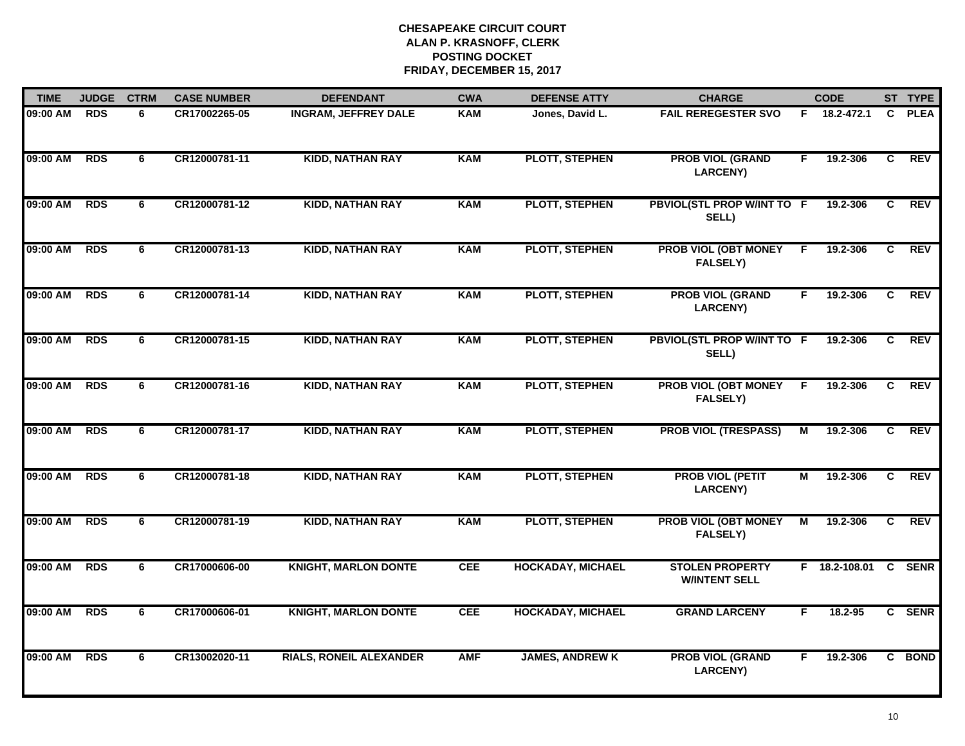| <b>TIME</b> | <b>JUDGE</b> | <b>CTRM</b> | <b>CASE NUMBER</b> | <b>DEFENDANT</b>               | <b>CWA</b> | <b>DEFENSE ATTY</b>      | <b>CHARGE</b>                                  |                | <b>CODE</b>     |                | ST TYPE     |
|-------------|--------------|-------------|--------------------|--------------------------------|------------|--------------------------|------------------------------------------------|----------------|-----------------|----------------|-------------|
| 09:00 AM    | RDS          | 6           | CR17002265-05      | <b>INGRAM, JEFFREY DALE</b>    | <b>KAM</b> | Jones, David L.          | <b>FAIL REREGESTER SVO</b>                     |                | F 18.2-472.1    | C.             | <b>PLEA</b> |
| 09:00 AM    | <b>RDS</b>   | 6           | CR12000781-11      | <b>KIDD, NATHAN RAY</b>        | <b>KAM</b> | PLOTT, STEPHEN           | <b>PROB VIOL (GRAND</b><br>LARCENY)            | F              | 19.2-306        | $\overline{c}$ | <b>REV</b>  |
| 09:00 AM    | <b>RDS</b>   | 6           | CR12000781-12      | <b>KIDD, NATHAN RAY</b>        | <b>KAM</b> | <b>PLOTT, STEPHEN</b>    | PBVIOL(STL PROP W/INT TO F<br>SELL)            |                | 19.2-306        | $\overline{c}$ | <b>REV</b>  |
| 09:00 AM    | <b>RDS</b>   | 6           | CR12000781-13      | <b>KIDD, NATHAN RAY</b>        | <b>KAM</b> | <b>PLOTT, STEPHEN</b>    | <b>PROB VIOL (OBT MONEY</b><br><b>FALSELY)</b> | F              | 19.2-306        | C              | <b>REV</b>  |
| 09:00 AM    | <b>RDS</b>   | 6           | CR12000781-14      | <b>KIDD, NATHAN RAY</b>        | <b>KAM</b> | <b>PLOTT, STEPHEN</b>    | <b>PROB VIOL (GRAND</b><br><b>LARCENY)</b>     | F.             | 19.2-306        | C.             | <b>REV</b>  |
| 09:00 AM    | <b>RDS</b>   | 6           | CR12000781-15      | <b>KIDD, NATHAN RAY</b>        | <b>KAM</b> | <b>PLOTT, STEPHEN</b>    | PBVIOL(STL PROP W/INT TO F<br>SELL)            |                | 19.2-306        | C.             | <b>REV</b>  |
| 09:00 AM    | <b>RDS</b>   | 6           | CR12000781-16      | <b>KIDD, NATHAN RAY</b>        | <b>KAM</b> | <b>PLOTT, STEPHEN</b>    | <b>PROB VIOL (OBT MONEY</b><br><b>FALSELY)</b> | F.             | 19.2-306        | C              | <b>REV</b>  |
| 09:00 AM    | <b>RDS</b>   | 6           | CR12000781-17      | <b>KIDD, NATHAN RAY</b>        | <b>KAM</b> | <b>PLOTT, STEPHEN</b>    | <b>PROB VIOL (TRESPASS)</b>                    | $\overline{M}$ | 19.2-306        | $\overline{c}$ | <b>REV</b>  |
| 09:00 AM    | <b>RDS</b>   | 6           | CR12000781-18      | <b>KIDD, NATHAN RAY</b>        | <b>KAM</b> | <b>PLOTT, STEPHEN</b>    | <b>PROB VIOL (PETIT</b><br><b>LARCENY)</b>     | M              | 19.2-306        | C              | <b>REV</b>  |
| 09:00 AM    | <b>RDS</b>   | 6           | CR12000781-19      | <b>KIDD, NATHAN RAY</b>        | <b>KAM</b> | <b>PLOTT, STEPHEN</b>    | <b>PROB VIOL (OBT MONEY</b><br><b>FALSELY)</b> | M              | 19.2-306        | C              | <b>REV</b>  |
| 09:00 AM    | <b>RDS</b>   | 6           | CR17000606-00      | <b>KNIGHT, MARLON DONTE</b>    | <b>CEE</b> | <b>HOCKADAY, MICHAEL</b> | <b>STOLEN PROPERTY</b><br><b>W/INTENT SELL</b> |                | $F$ 18.2-108.01 | $\mathbf{C}$   | <b>SENR</b> |
| 09:00 AM    | <b>RDS</b>   | 6           | CR17000606-01      | <b>KNIGHT, MARLON DONTE</b>    | <b>CEE</b> | <b>HOCKADAY, MICHAEL</b> | <b>GRAND LARCENY</b>                           | F              | 18.2-95         |                | C SENR      |
| 09:00 AM    | <b>RDS</b>   | 6           | CR13002020-11      | <b>RIALS, RONEIL ALEXANDER</b> | <b>AMF</b> | <b>JAMES, ANDREW K</b>   | <b>PROB VIOL (GRAND</b><br><b>LARCENY)</b>     | F.             | 19.2-306        |                | C BOND      |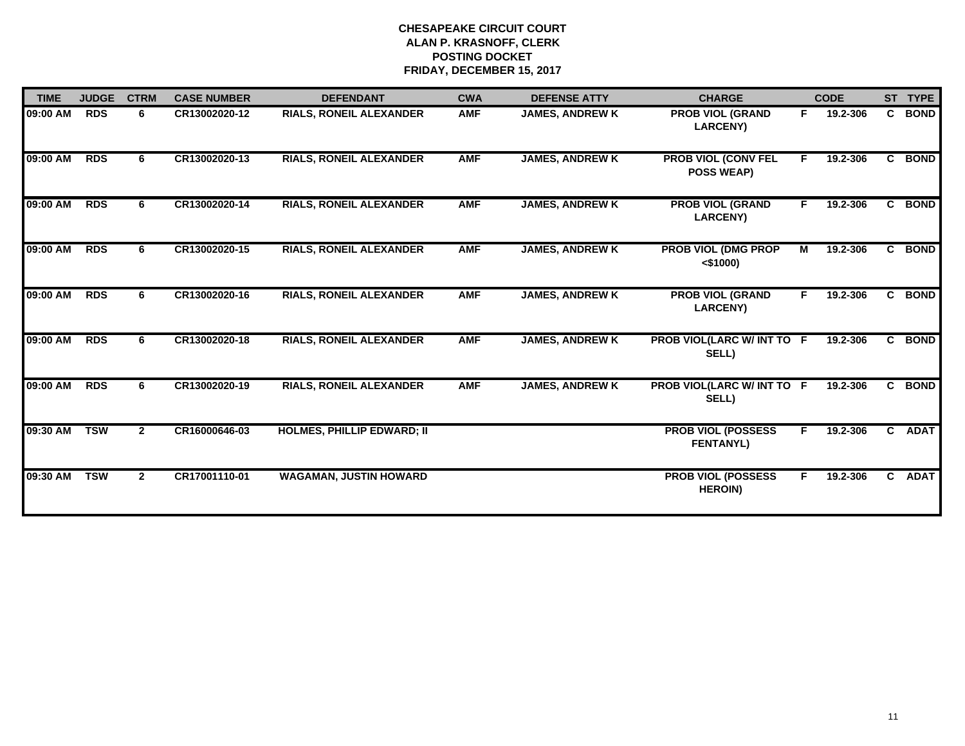| <b>TIME</b> | <b>JUDGE</b> | <b>CTRM</b>  | <b>CASE NUMBER</b> | <b>DEFENDANT</b>                  | <b>CWA</b> | <b>DEFENSE ATTY</b>    | <b>CHARGE</b>                                   |    | <b>CODE</b> |              | ST TYPE     |
|-------------|--------------|--------------|--------------------|-----------------------------------|------------|------------------------|-------------------------------------------------|----|-------------|--------------|-------------|
| 09:00 AM    | <b>RDS</b>   | 6            | CR13002020-12      | <b>RIALS, RONEIL ALEXANDER</b>    | <b>AMF</b> | <b>JAMES, ANDREW K</b> | <b>PROB VIOL (GRAND</b><br><b>LARCENY)</b>      | F. | 19.2-306    | C.           | <b>BOND</b> |
| 09:00 AM    | <b>RDS</b>   | 6            | CR13002020-13      | <b>RIALS, RONEIL ALEXANDER</b>    | <b>AMF</b> | <b>JAMES, ANDREW K</b> | <b>PROB VIOL (CONV FEL</b><br><b>POSS WEAP)</b> | F. | 19.2-306    | C.           | <b>BOND</b> |
| 09:00 AM    | <b>RDS</b>   | 6            | CR13002020-14      | <b>RIALS, RONEIL ALEXANDER</b>    | <b>AMF</b> | <b>JAMES, ANDREW K</b> | <b>PROB VIOL (GRAND</b><br><b>LARCENY)</b>      | F. | 19.2-306    | C.           | <b>BOND</b> |
| 09:00 AM    | <b>RDS</b>   | 6            | CR13002020-15      | <b>RIALS, RONEIL ALEXANDER</b>    | <b>AMF</b> | <b>JAMES, ANDREW K</b> | <b>PROB VIOL (DMG PROP</b><br>$<$ \$1000)       | M  | 19.2-306    | $\mathbf{c}$ | <b>BOND</b> |
| 09:00 AM    | <b>RDS</b>   | 6            | CR13002020-16      | <b>RIALS, RONEIL ALEXANDER</b>    | <b>AMF</b> | <b>JAMES, ANDREW K</b> | <b>PROB VIOL (GRAND</b><br><b>LARCENY)</b>      | F. | 19.2-306    |              | C BOND      |
| 09:00 AM    | <b>RDS</b>   | 6            | CR13002020-18      | <b>RIALS, RONEIL ALEXANDER</b>    | <b>AMF</b> | <b>JAMES, ANDREW K</b> | PROB VIOL(LARC W/ INT TO F<br>SELL)             |    | 19.2-306    |              | C BOND      |
| 09:00 AM    | <b>RDS</b>   | 6            | CR13002020-19      | <b>RIALS, RONEIL ALEXANDER</b>    | <b>AMF</b> | <b>JAMES, ANDREW K</b> | PROB VIOL(LARC W/ INT TO F<br>SELL)             |    | 19.2-306    |              | C BOND      |
| 09:30 AM    | <b>TSW</b>   | $\mathbf{2}$ | CR16000646-03      | <b>HOLMES, PHILLIP EDWARD; II</b> |            |                        | <b>PROB VIOL (POSSESS</b><br><b>FENTANYL)</b>   | F. | 19.2-306    | $\mathbf{c}$ | <b>ADAT</b> |
| 09:30 AM    | <b>TSW</b>   | $\mathbf{2}$ | CR17001110-01      | <b>WAGAMAN, JUSTIN HOWARD</b>     |            |                        | <b>PROB VIOL (POSSESS</b><br><b>HEROIN)</b>     |    | 19.2-306    | C.           | <b>ADAT</b> |